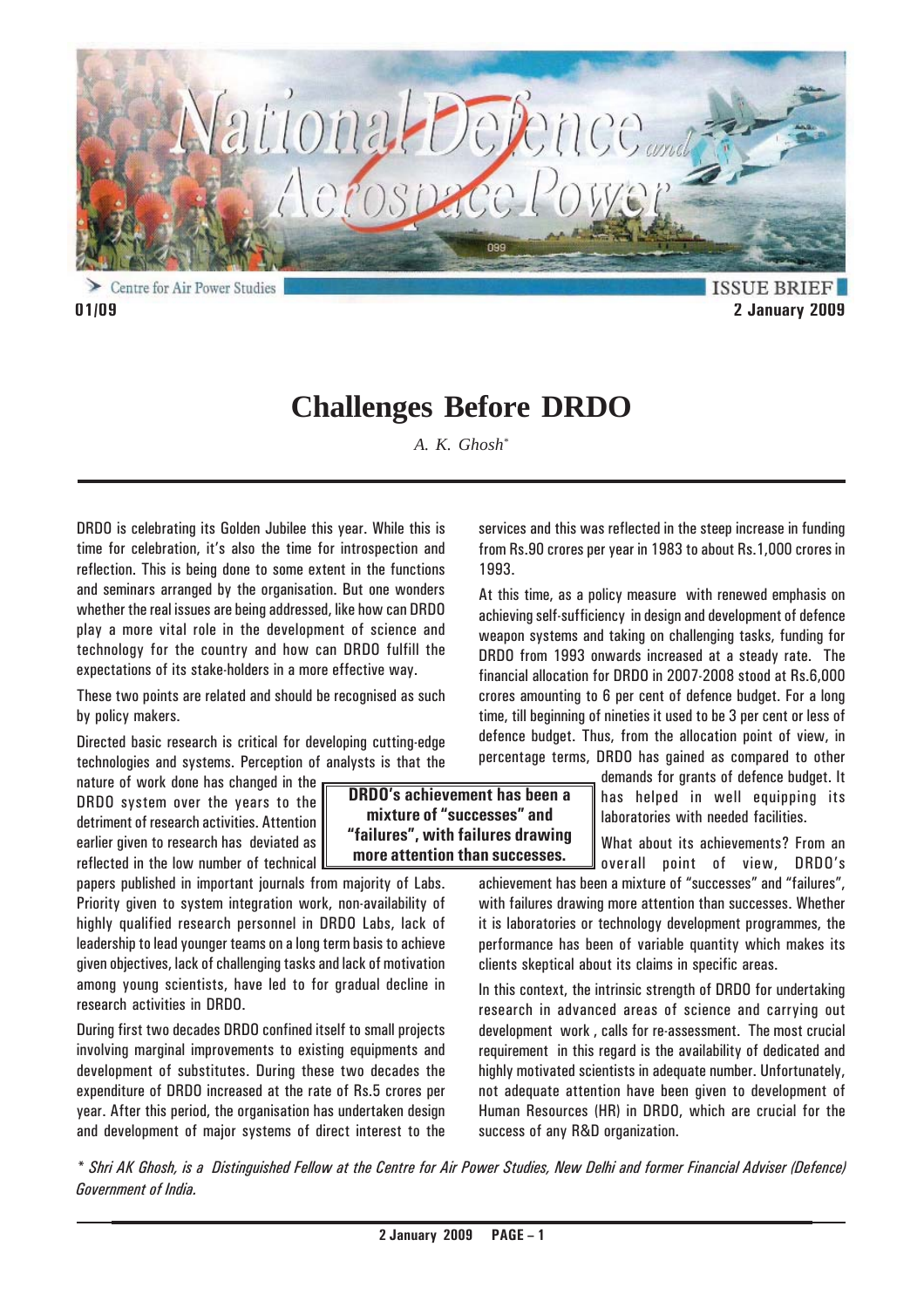

**ISSUE BRIEF 01/09 2 January 2009**

# **Challenges Before DRDO**

*A. K. Ghosh\**

DRDO is celebrating its Golden Jubilee this year. While this is time for celebration, it's also the time for introspection and reflection. This is being done to some extent in the functions and seminars arranged by the organisation. But one wonders whether the real issues are being addressed, like how can DRDO play a more vital role in the development of science and technology for the country and how can DRDO fulfill the expectations of its stake-holders in a more effective way.

These two points are related and should be recognised as such by policy makers.

Directed basic research is critical for developing cutting-edge technologies and systems. Perception of analysts is that the

nature of work done has changed in the DRDO system over the years to the detriment of research activities. Attention earlier given to research has deviated as  $\mathsf I$ reflected in the low number of technical

papers published in important journals from majority of Labs. Priority given to system integration work, non-availability of highly qualified research personnel in DRDO Labs, lack of leadership to lead younger teams on a long term basis to achieve given objectives, lack of challenging tasks and lack of motivation among young scientists, have led to for gradual decline in research activities in DRDO.

During first two decades DRDO confined itself to small projects involving marginal improvements to existing equipments and development of substitutes. During these two decades the expenditure of DRDO increased at the rate of Rs.5 crores per year. After this period, the organisation has undertaken design and development of major systems of direct interest to the

services and this was reflected in the steep increase in funding from Rs.90 crores per year in 1983 to about Rs.1,000 crores in 1993.

At this time, as a policy measure with renewed emphasis on achieving self-sufficiency in design and development of defence weapon systems and taking on challenging tasks, funding for DRDO from 1993 onwards increased at a steady rate. The financial allocation for DRDO in 2007-2008 stood at Rs.6,000 crores amounting to 6 per cent of defence budget. For a long time, till beginning of nineties it used to be 3 per cent or less of defence budget. Thus, from the allocation point of view, in percentage terms, DRDO has gained as compared to other

demands for grants of defence budget. It has helped in well equipping its laboratories with needed facilities.

What about its achievements? From an overall point of view, DRDO's

achievement has been a mixture of "successes" and "failures", with failures drawing more attention than successes. Whether it is laboratories or technology development programmes, the performance has been of variable quantity which makes its clients skeptical about its claims in specific areas.

In this context, the intrinsic strength of DRDO for undertaking research in advanced areas of science and carrying out development work , calls for re-assessment. The most crucial requirement in this regard is the availability of dedicated and highly motivated scientists in adequate number. Unfortunately, not adequate attention have been given to development of Human Resources (HR) in DRDO, which are crucial for the success of any R&D organization.

*\* Shri AK Ghosh, is a Distinguished Fellow at the Centre for Air Power Studies, New Delhi and former Financial Adviser (Defence) Government of India.*

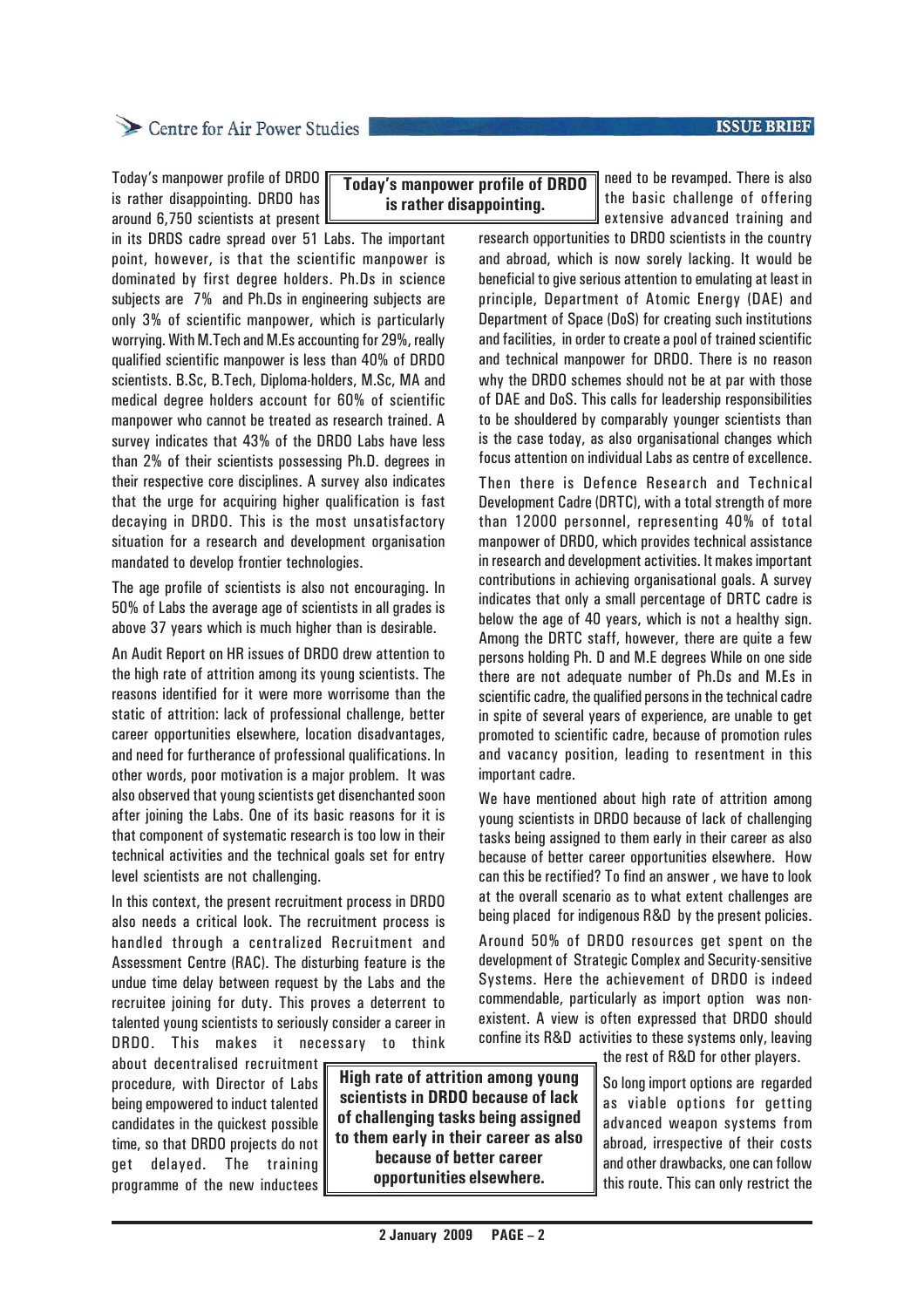#### **ISSUE BRIEF**

### Centre for Air Power Studies

Today's manpower profile of DRDO is rather disappointing. DRDO has around 6,750 scientists at present

in its DRDS cadre spread over 51 Labs. The important point, however, is that the scientific manpower is dominated by first degree holders. Ph.Ds in science subjects are 7% and Ph.Ds in engineering subjects are only 3% of scientific manpower, which is particularly worrying. With M.Tech and M.Es accounting for 29%, really qualified scientific manpower is less than 40% of DRDO scientists. B.Sc, B.Tech, Diploma-holders, M.Sc, MA and medical degree holders account for 60% of scientific manpower who cannot be treated as research trained. A survey indicates that 43% of the DRDO Labs have less than 2% of their scientists possessing Ph.D. degrees in their respective core disciplines. A survey also indicates that the urge for acquiring higher qualification is fast decaying in DRDO. This is the most unsatisfactory situation for a research and development organisation mandated to develop frontier technologies.

The age profile of scientists is also not encouraging. In 50% of Labs the average age of scientists in all grades is above 37 years which is much higher than is desirable.

An Audit Report on HR issues of DRDO drew attention to the high rate of attrition among its young scientists. The reasons identified for it were more worrisome than the static of attrition: lack of professional challenge, better career opportunities elsewhere, location disadvantages, and need for furtherance of professional qualifications. In other words, poor motivation is a major problem. It was also observed that young scientists get disenchanted soon after joining the Labs. One of its basic reasons for it is that component of systematic research is too low in their technical activities and the technical goals set for entry level scientists are not challenging.

In this context, the present recruitment process in DRDO also needs a critical look. The recruitment process is handled through a centralized Recruitment and Assessment Centre (RAC). The disturbing feature is the undue time delay between request by the Labs and the recruitee joining for duty. This proves a deterrent to talented young scientists to seriously consider a career in DRDO. This makes it necessary to think

about decentralised recruitment procedure, with Director of Labs being empowered to induct talented candidates in the quickest possible time, so that DRDO projects do not get delayed. The training programme of the new inductees

**High rate of attrition among young scientists in DRDO because of lack of challenging tasks being assigned to them early in their career as also because of better career opportunities elsewhere.**

**Today's manpower profile of DRDO is rather disappointing.**

need to be revamped. There is also the basic challenge of offering extensive advanced training and

research opportunities to DRDO scientists in the country and abroad, which is now sorely lacking. It would be beneficial to give serious attention to emulating at least in principle, Department of Atomic Energy (DAE) and Department of Space (DoS) for creating such institutions and facilities, in order to create a pool of trained scientific and technical manpower for DRDO. There is no reason why the DRDO schemes should not be at par with those of DAE and DoS. This calls for leadership responsibilities to be shouldered by comparably younger scientists than is the case today, as also organisational changes which focus attention on individual Labs as centre of excellence.

Then there is Defence Research and Technical Development Cadre (DRTC), with a total strength of more than 12000 personnel, representing 40% of total manpower of DRDO, which provides technical assistance in research and development activities. It makes important contributions in achieving organisational goals. A survey indicates that only a small percentage of DRTC cadre is below the age of 40 years, which is not a healthy sign. Among the DRTC staff, however, there are quite a few persons holding Ph. D and M.E degrees While on one side there are not adequate number of Ph.Ds and M.Es in scientific cadre, the qualified persons in the technical cadre in spite of several years of experience, are unable to get promoted to scientific cadre, because of promotion rules and vacancy position, leading to resentment in this important cadre.

We have mentioned about high rate of attrition among young scientists in DRDO because of lack of challenging tasks being assigned to them early in their career as also because of better career opportunities elsewhere. How can this be rectified? To find an answer , we have to look at the overall scenario as to what extent challenges are being placed for indigenous R&D by the present policies.

Around 50% of DRDO resources get spent on the development of Strategic Complex and Security-sensitive Systems. Here the achievement of DRDO is indeed commendable, particularly as import option was nonexistent. A view is often expressed that DRDO should confine its R&D activities to these systems only, leaving

the rest of R&D for other players.

So long import options are regarded as viable options for getting advanced weapon systems from abroad, irrespective of their costs and other drawbacks, one can follow this route. This can only restrict the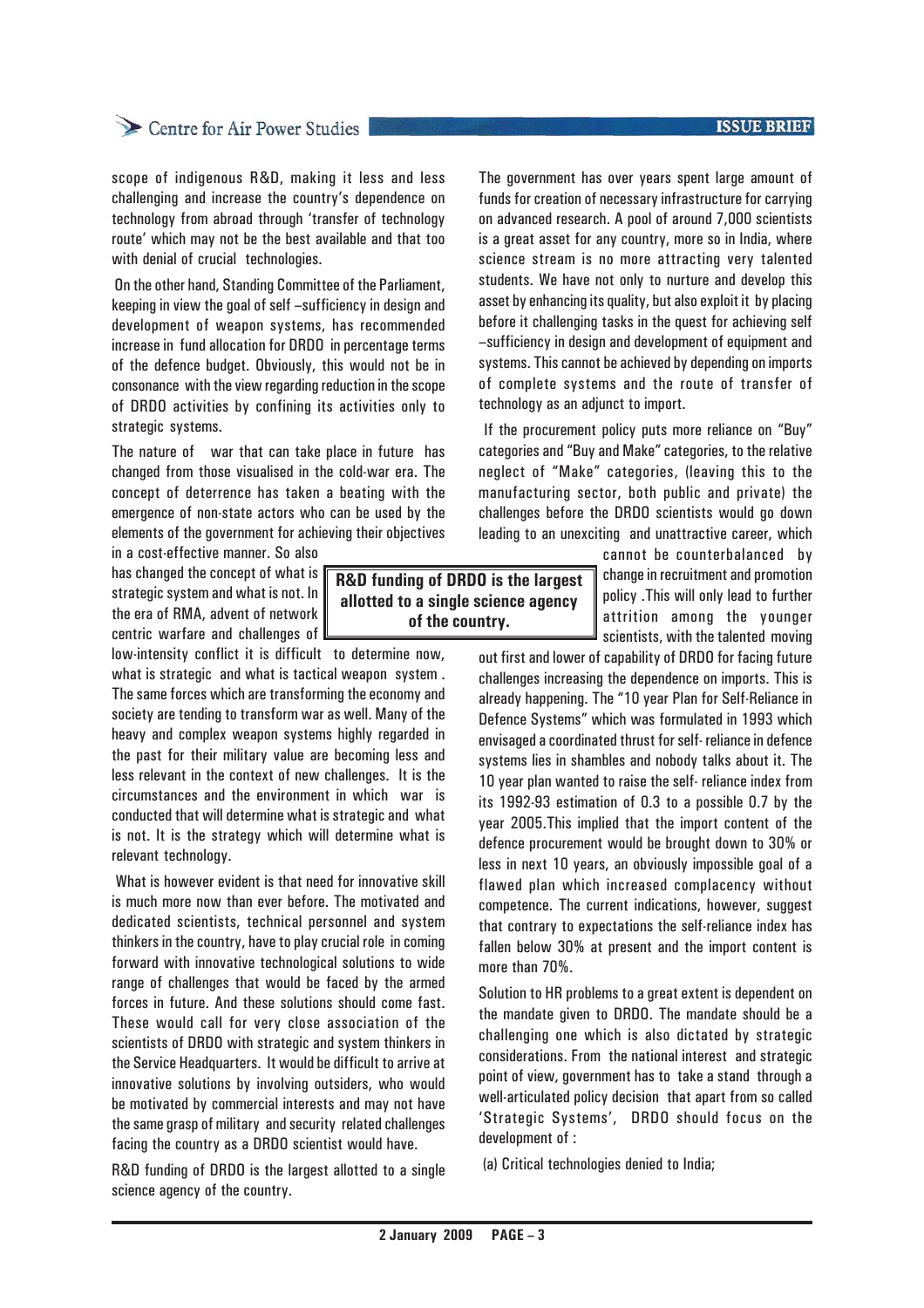#### **ISSUE BRIEF**

# Centre for Air Power Studies

scope of indigenous R&D, making it less and less challenging and increase the country's dependence on technology from abroad through 'transfer of technology route' which may not be the best available and that too with denial of crucial technologies.

 On the other hand, Standing Committee of the Parliament, keeping in view the goal of self –sufficiency in design and development of weapon systems, has recommended increase in fund allocation for DRDO in percentage terms of the defence budget. Obviously, this would not be in consonance with the view regarding reduction in the scope of DRDO activities by confining its activities only to strategic systems.

The nature of war that can take place in future has changed from those visualised in the cold-war era. The concept of deterrence has taken a beating with the emergence of non-state actors who can be used by the elements of the government for achieving their objectives

in a cost-effective manner. So also has changed the concept of what is strategic system and what is not. In the era of RMA, advent of network centric warfare and challenges of

low-intensity conflict it is difficult to determine now, what is strategic and what is tactical weapon system . The same forces which are transforming the economy and society are tending to transform war as well. Many of the heavy and complex weapon systems highly regarded in the past for their military value are becoming less and less relevant in the context of new challenges. It is the circumstances and the environment in which war is conducted that will determine what is strategic and what is not. It is the strategy which will determine what is relevant technology.

 What is however evident is that need for innovative skill is much more now than ever before. The motivated and dedicated scientists, technical personnel and system thinkers in the country, have to play crucial role in coming forward with innovative technological solutions to wide range of challenges that would be faced by the armed forces in future. And these solutions should come fast. These would call for very close association of the scientists of DRDO with strategic and system thinkers in the Service Headquarters. It would be difficult to arrive at innovative solutions by involving outsiders, who would be motivated by commercial interests and may not have the same grasp of military and security related challenges facing the country as a DRDO scientist would have.

R&D funding of DRDO is the largest allotted to a single science agency of the country.

The government has over years spent large amount of funds for creation of necessary infrastructure for carrying on advanced research. A pool of around 7,000 scientists is a great asset for any country, more so in India, where science stream is no more attracting very talented students. We have not only to nurture and develop this asset by enhancing its quality, but also exploit it by placing before it challenging tasks in the quest for achieving self –sufficiency in design and development of equipment and systems. This cannot be achieved by depending on imports of complete systems and the route of transfer of technology as an adjunct to import.

 If the procurement policy puts more reliance on "Buy" categories and "Buy and Make" categories, to the relative neglect of "Make" categories, (leaving this to the manufacturing sector, both public and private) the challenges before the DRDO scientists would go down leading to an unexciting and unattractive career, which

cannot be counterbalanced by change in recruitment and promotion policy .This will only lead to further attrition among the younger scientists, with the talented moving

out first and lower of capability of DRDO for facing future challenges increasing the dependence on imports. This is already happening. The "10 year Plan for Self-Reliance in Defence Systems" which was formulated in 1993 which envisaged a coordinated thrust for self- reliance in defence systems lies in shambles and nobody talks about it. The 10 year plan wanted to raise the self- reliance index from its 1992-93 estimation of 0.3 to a possible 0.7 by the year 2005.This implied that the import content of the defence procurement would be brought down to 30% or less in next 10 years, an obviously impossible goal of a flawed plan which increased complacency without competence. The current indications, however, suggest that contrary to expectations the self-reliance index has fallen below 30% at present and the import content is more than 70%.

Solution to HR problems to a great extent is dependent on the mandate given to DRDO. The mandate should be a challenging one which is also dictated by strategic considerations. From the national interest and strategic point of view, government has to take a stand through a well-articulated policy decision that apart from so called 'Strategic Systems', DRDO should focus on the development of :

(a) Critical technologies denied to India;

**R&D funding of DRDO is the largest allotted to a single science agency of the country.**